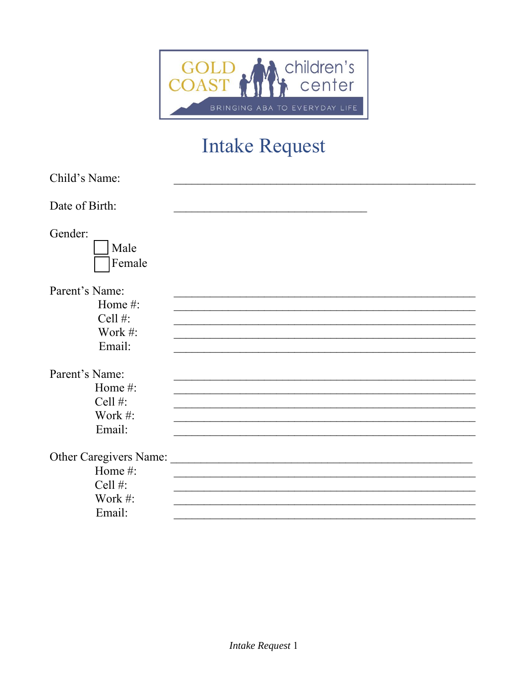

## **Intake Request**

| Child's Name:                                             |  |
|-----------------------------------------------------------|--|
| Date of Birth:                                            |  |
| Gender:<br>Male<br>Female                                 |  |
| Parent's Name:<br>Home #:<br>Cell #:<br>Work #:<br>Email: |  |
| Parent's Name:                                            |  |
| Home #:                                                   |  |
| Cell #:                                                   |  |
| Work #:                                                   |  |
| Email:                                                    |  |
| Other Caregivers Name:                                    |  |
| Home #:                                                   |  |
| Cell #:                                                   |  |
| Work #:                                                   |  |
| Email:                                                    |  |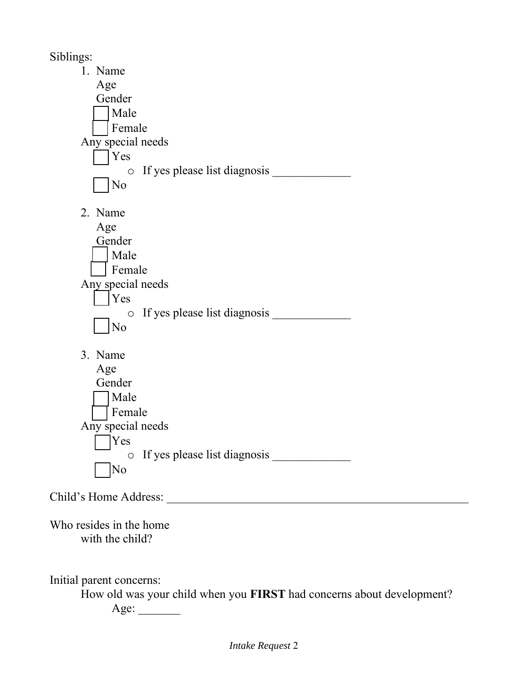Siblings:

| $\mathsf{S}$ . $\mathsf{S}$ .              |  |
|--------------------------------------------|--|
| 1. Name                                    |  |
| Age                                        |  |
| Gender                                     |  |
| Male                                       |  |
| Female                                     |  |
| Any special needs                          |  |
| Yes                                        |  |
| If yes please list diagnosis<br>$\bigcirc$ |  |
| N <sub>o</sub>                             |  |
| 2. Name                                    |  |
| Age                                        |  |
| Gender                                     |  |
| Male                                       |  |
| Female                                     |  |
| Any special needs                          |  |
| Yes                                        |  |
| If yes please list diagnosis<br>$\bigcirc$ |  |
| No                                         |  |
| 3. Name                                    |  |
| Age                                        |  |
| Gender                                     |  |
| Male                                       |  |
| Female                                     |  |
| Any special needs                          |  |
| Yes                                        |  |
|                                            |  |
| $\sqrt{\text{No}}$                         |  |
|                                            |  |
|                                            |  |
| Who resides in the home                    |  |
| with the child?                            |  |
|                                            |  |

Initial parent concerns:

How old was your child when you **FIRST** had concerns about development?

Age: \_\_\_\_\_\_\_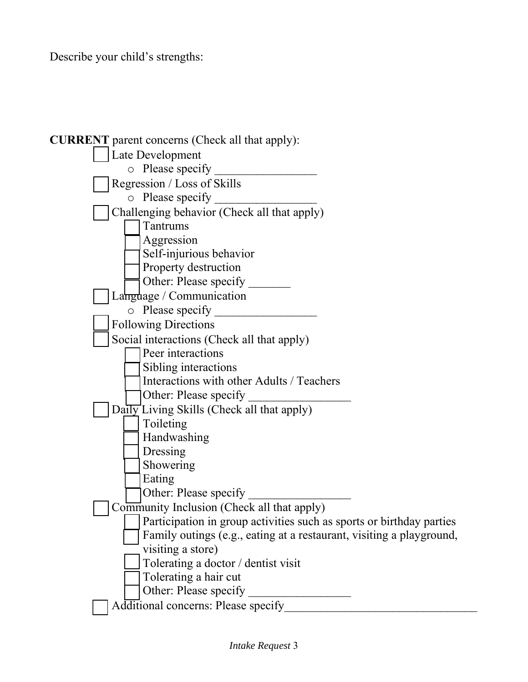Describe your child's strengths:

| <b>CURRENT</b> parent concerns (Check all that apply):               |
|----------------------------------------------------------------------|
| Late Development                                                     |
| o Please specify                                                     |
| Regression / Loss of Skills                                          |
| $\circ$ Please specify                                               |
| Challenging behavior (Check all that apply)                          |
| Tantrums                                                             |
| Aggression                                                           |
| Self-injurious behavior                                              |
| Property destruction                                                 |
| Other: Please specify                                                |
| Language / Communication                                             |
| $\circ$ Please specify                                               |
| <b>Following Directions</b>                                          |
| Social interactions (Check all that apply)                           |
| Peer interactions                                                    |
| Sibling interactions                                                 |
| Interactions with other Adults / Teachers                            |
| Other: Please specify                                                |
| Daily Living Skills (Check all that apply)                           |
| Toileting                                                            |
| Handwashing                                                          |
| Dressing                                                             |
| Showering                                                            |
| Eating                                                               |
| Other: Please specify                                                |
| Community Inclusion (Check all that apply)                           |
| Participation in group activities such as sports or birthday parties |
| Family outings (e.g., eating at a restaurant, visiting a playground, |
| visiting a store)                                                    |
| Tolerating a doctor / dentist visit                                  |
| Tolerating a hair cut                                                |
| Other: Please specify                                                |
| Additional concerns: Please specify                                  |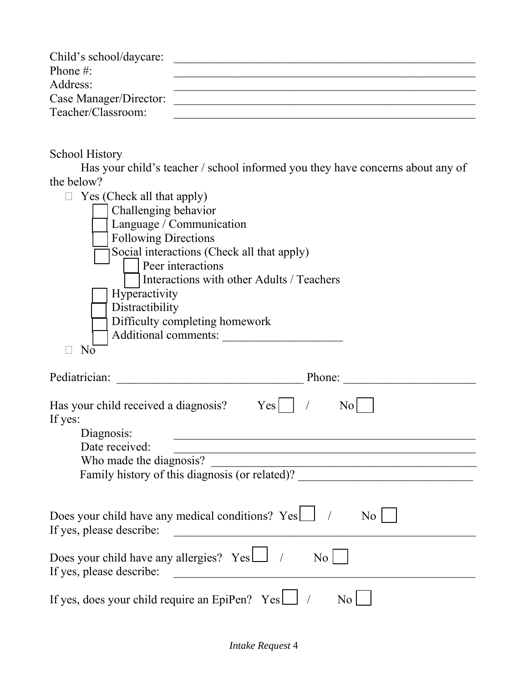| Child's school/daycare: |  |
|-------------------------|--|
| Phone $\#$ :            |  |
| Address:                |  |
| Case Manager/Director:  |  |
| Teacher/Classroom:      |  |

School History

Has your child's teacher / school informed you they have concerns about any of the below?

| Yes (Check all that apply)<br>Challenging behavior<br>Language / Communication<br><b>Following Directions</b><br>Social interactions (Check all that apply)<br>Peer interactions |
|----------------------------------------------------------------------------------------------------------------------------------------------------------------------------------|
| Interactions with other Adults / Teachers<br>Hyperactivity                                                                                                                       |
| Distractibility<br>Difficulty completing homework<br>Additional comments:                                                                                                        |
| $N\overline{o}$                                                                                                                                                                  |
| Pediatrician:<br>Phone:<br><u> 1989 - Johann Barbara, martxa alemaniar a</u>                                                                                                     |
| Has your child received a diagnosis? Yes     /<br>No <sub>l</sub><br>If yes:<br>Diagnosis:                                                                                       |
| Date received:<br><u> 1990 - Johann John Stone, mars eta bainar eta mondo eta erresta eta erresta eta erresta eta erresta eta errest</u>                                         |
| Who made the diagnosis?<br>Family history of this diagnosis (or related)?                                                                                                        |
| Does your child have any medical conditions? $Yes \Box$ /<br>N <sub>o</sub><br>If yes, please describe:                                                                          |
| Does your child have any allergies? $Yes \Box$ /<br>N <sub>o</sub><br>If yes, please describe:                                                                                   |
| If yes, does your child require an EpiPen? Yes<br>No.                                                                                                                            |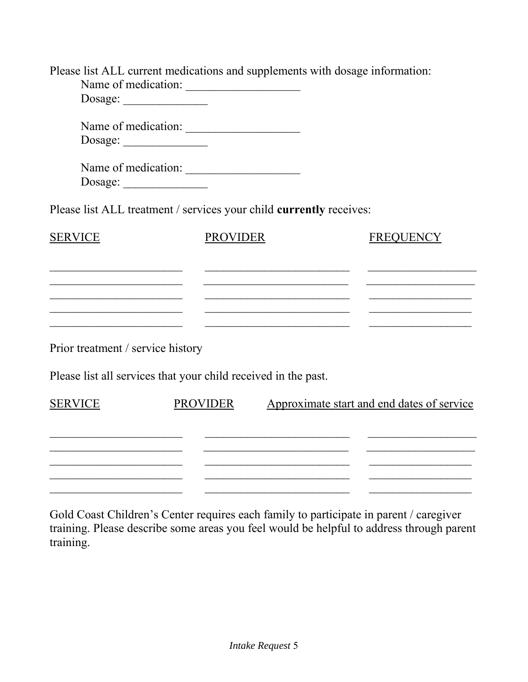| Please list ALL current medications and supplements with dosage information: |                 |                                                                                                                               |                            |                                                                                                                             |
|------------------------------------------------------------------------------|-----------------|-------------------------------------------------------------------------------------------------------------------------------|----------------------------|-----------------------------------------------------------------------------------------------------------------------------|
| Name of medication:                                                          |                 |                                                                                                                               |                            |                                                                                                                             |
| Dosage:                                                                      |                 |                                                                                                                               |                            |                                                                                                                             |
| Name of medication:                                                          |                 |                                                                                                                               |                            |                                                                                                                             |
|                                                                              |                 |                                                                                                                               |                            |                                                                                                                             |
| Name of medication:                                                          |                 |                                                                                                                               |                            |                                                                                                                             |
| Dosage:                                                                      |                 |                                                                                                                               |                            |                                                                                                                             |
| Please list ALL treatment / services your child currently receives:          |                 |                                                                                                                               |                            |                                                                                                                             |
| <b>SERVICE</b>                                                               | <b>PROVIDER</b> |                                                                                                                               |                            | <b>FREQUENCY</b>                                                                                                            |
|                                                                              |                 |                                                                                                                               |                            |                                                                                                                             |
|                                                                              |                 | <u> 2002 - Johann John Stone, mars et al. 1980 - John Stone, mars et al. 1980 - John Stone, mars et al. 1980 - John Stone</u> |                            | <u> 2000 - Johann John Stone, market ar yn y brening yn y brening yn y brening yn y brening yn y brening yn y brening y</u> |
|                                                                              |                 |                                                                                                                               |                            |                                                                                                                             |
|                                                                              |                 |                                                                                                                               |                            |                                                                                                                             |
| Prior treatment / service history                                            |                 |                                                                                                                               |                            |                                                                                                                             |
|                                                                              |                 |                                                                                                                               |                            |                                                                                                                             |
| Please list all services that your child received in the past.               |                 |                                                                                                                               |                            |                                                                                                                             |
| <b>SERVICE</b>                                                               | <b>PROVIDER</b> |                                                                                                                               |                            | Approximate start and end dates of service                                                                                  |
|                                                                              |                 |                                                                                                                               |                            |                                                                                                                             |
|                                                                              |                 |                                                                                                                               |                            |                                                                                                                             |
|                                                                              |                 |                                                                                                                               |                            |                                                                                                                             |
|                                                                              |                 |                                                                                                                               | $\overline{\phantom{a}}$ . |                                                                                                                             |
|                                                                              |                 |                                                                                                                               |                            |                                                                                                                             |

Gold Coast Children's Center requires each family to participate in parent / caregiver training. Please describe some areas you feel would be helpful to address through parent training.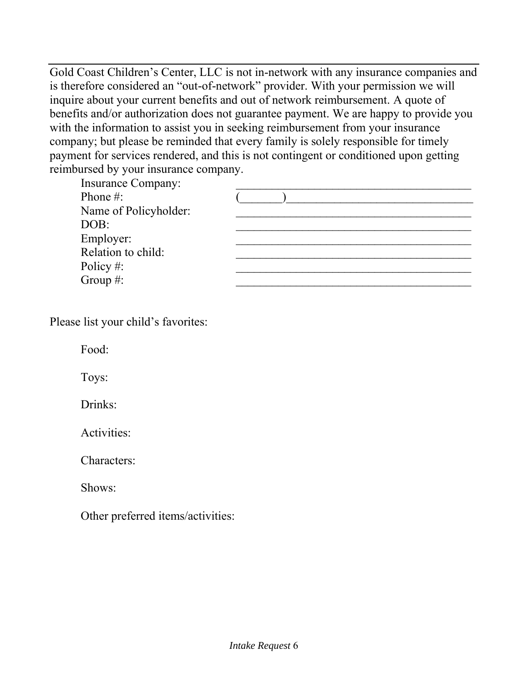Gold Coast Children's Center, LLC is not in-network with any insurance companies and is therefore considered an "out-of-network" provider. With your permission we will inquire about your current benefits and out of network reimbursement. A quote of benefits and/or authorization does not guarantee payment. We are happy to provide you with the information to assist you in seeking reimbursement from your insurance company; but please be reminded that every family is solely responsible for timely payment for services rendered, and this is not contingent or conditioned upon getting reimbursed by your insurance company.

Insurance Company: Name of Policyholder:

| msurance Company.     |  |
|-----------------------|--|
| Phone #:              |  |
| Name of Policyholder: |  |
| DOB:                  |  |
| Employer:             |  |
| Relation to child:    |  |
| Policy #:             |  |
| Group $#$ :           |  |

Please list your child's favorites:

Food:

Toys:

Drinks:

Activities:

Characters:

Shows:

Other preferred items/activities: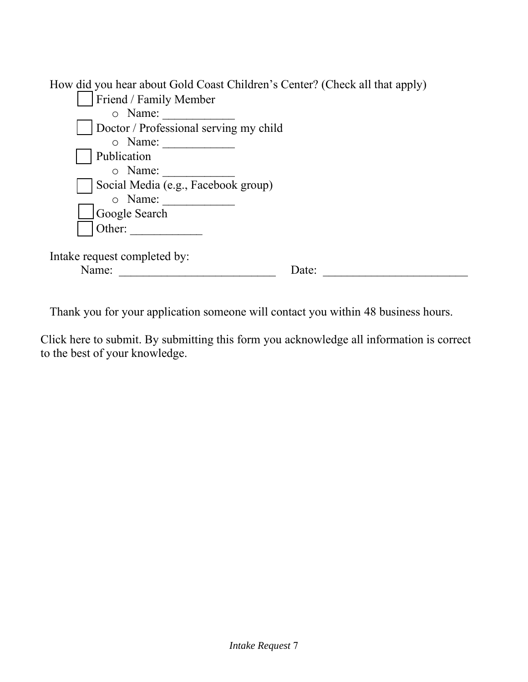| How did you hear about Gold Coast Children's Center? (Check all that apply) |       |
|-----------------------------------------------------------------------------|-------|
| Friend / Family Member                                                      |       |
| o Name:                                                                     |       |
| Doctor / Professional serving my child                                      |       |
| o Name:                                                                     |       |
| Publication                                                                 |       |
| o Name:                                                                     |       |
| Social Media (e.g., Facebook group)                                         |       |
| o Name:                                                                     |       |
| Google Search                                                               |       |
| Other:                                                                      |       |
|                                                                             |       |
| Intake request completed by:                                                |       |
| Name:                                                                       | Date: |

Thank you for your application someone will contact you within 48 business hours.

Click here to submit. By submitting this form you acknowledge all information is correct to the best of your knowledge.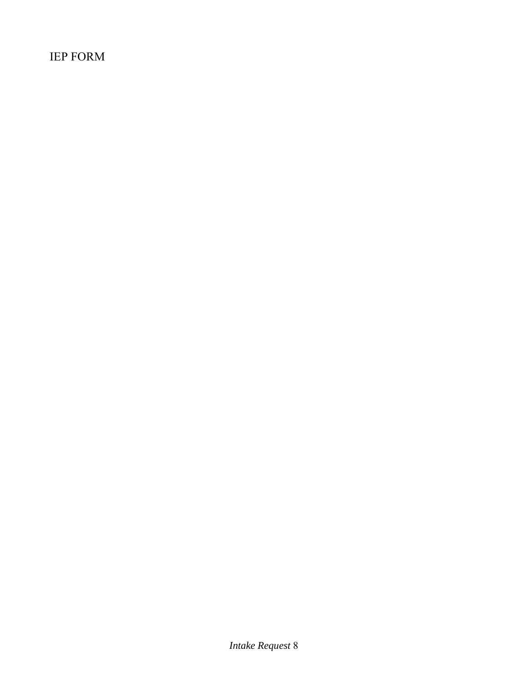IEP FORM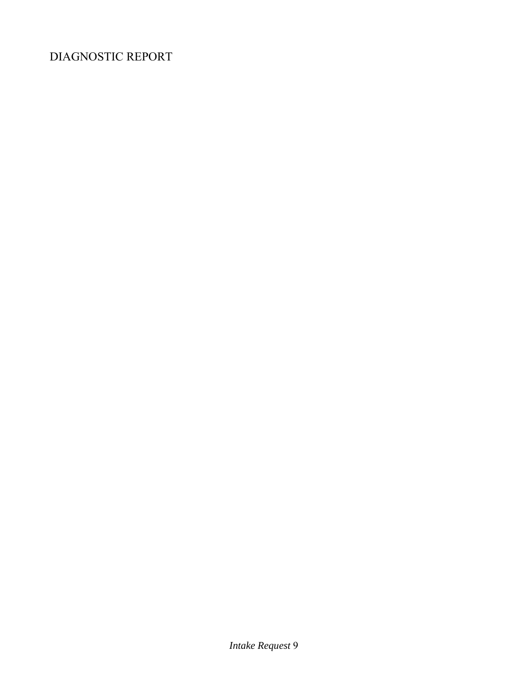## DIAGNOSTIC REPORT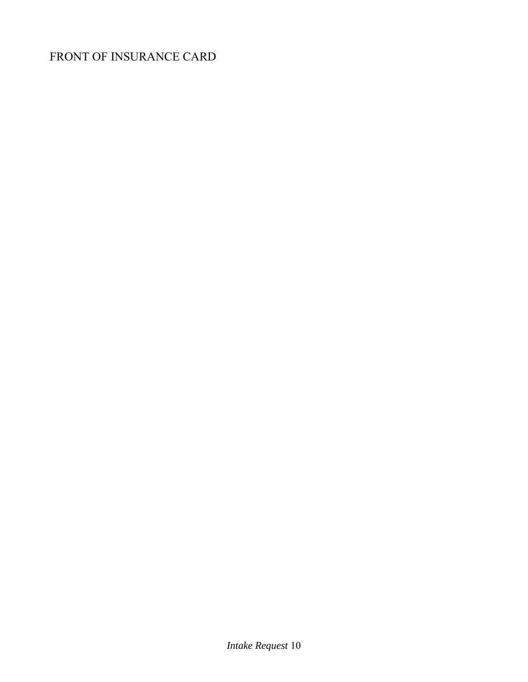## FRONT OF INSURANCE CARD